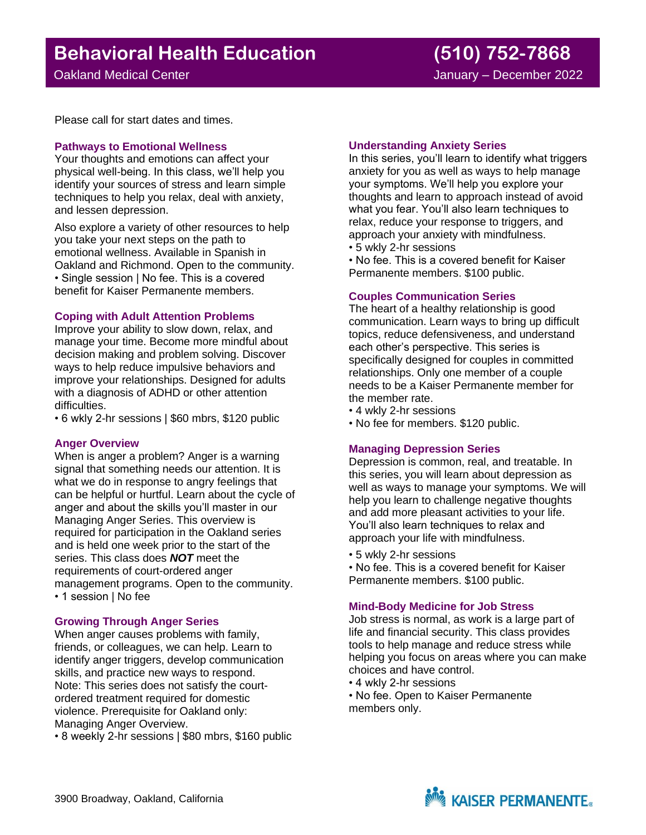# **Behavioral Health Education (510) 752-7868**

Please call for start dates and times.

#### **Pathways to Emotional Wellness**

Your thoughts and emotions can affect your physical well-being. In this class, we'll help you identify your sources of stress and learn simple techniques to help you relax, deal with anxiety, and lessen depression.

Also explore a variety of other resources to help you take your next steps on the path to emotional wellness. Available in Spanish in Oakland and Richmond. Open to the community. • Single session | No fee. This is a covered benefit for Kaiser Permanente members.

#### **Coping with Adult Attention Problems**

Improve your ability to slow down, relax, and manage your time. Become more mindful about decision making and problem solving. Discover ways to help reduce impulsive behaviors and improve your relationships. Designed for adults with a diagnosis of ADHD or other attention difficulties.

• 6 wkly 2-hr sessions | \$60 mbrs, \$120 public

## **Anger Overview**

When is anger a problem? Anger is a warning signal that something needs our attention. It is what we do in response to angry feelings that can be helpful or hurtful. Learn about the cycle of anger and about the skills you'll master in our Managing Anger Series. This overview is required for participation in the Oakland series and is held one week prior to the start of the series. This class does *NOT* meet the requirements of court-ordered anger management programs. Open to the community. • 1 session | No fee

## **Growing Through Anger Series**

When anger causes problems with family, friends, or colleagues, we can help. Learn to identify anger triggers, develop communication skills, and practice new ways to respond. Note: This series does not satisfy the courtordered treatment required for domestic violence. Prerequisite for Oakland only: Managing Anger Overview.

• 8 weekly 2-hr sessions | \$80 mbrs, \$160 public

## **Understanding Anxiety Series**

In this series, you'll learn to identify what triggers anxiety for you as well as ways to help manage your symptoms. We'll help you explore your thoughts and learn to approach instead of avoid what you fear. You'll also learn techniques to relax, reduce your response to triggers, and approach your anxiety with mindfulness.

• 5 wkly 2-hr sessions

• No fee. This is a covered benefit for Kaiser Permanente members. \$100 public.

## **Couples Communication Series**

The heart of a healthy relationship is good communication. Learn ways to bring up difficult topics, reduce defensiveness, and understand each other's perspective. This series is specifically designed for couples in committed relationships. Only one member of a couple needs to be a Kaiser Permanente member for the member rate.

- 4 wkly 2-hr sessions
- No fee for members. \$120 public.

## **Managing Depression Series**

Depression is common, real, and treatable. In this series, you will learn about depression as well as ways to manage your symptoms. We will help you learn to challenge negative thoughts and add more pleasant activities to your life. You'll also learn techniques to relax and approach your life with mindfulness.

• 5 wkly 2-hr sessions

• No fee. This is a covered benefit for Kaiser Permanente members. \$100 public.

#### **Mind-Body Medicine for Job Stress**

Job stress is normal, as work is a large part of life and financial security. This class provides tools to help manage and reduce stress while helping you focus on areas where you can make choices and have control.

• 4 wkly 2-hr sessions

• No fee. Open to Kaiser Permanente members only.